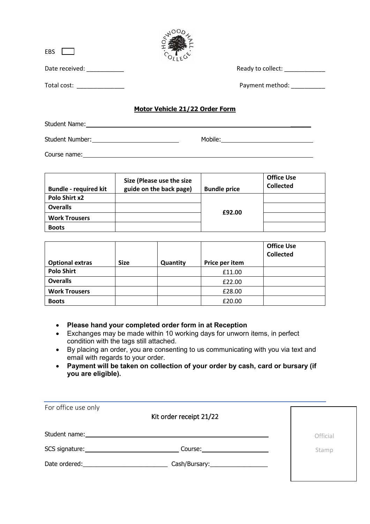| EBS            |                                |
|----------------|--------------------------------|
| Date received: | Ready to collect:              |
| Total cost:    | Payment method:                |
|                | Motor Vehicle 21/22 Order Form |

NOODL

## Student Name: \_\_\_\_\_\_ Student Number: Mobile: Mobile: Mobile: Mobile: Mobile: Mobile: Mobile: Mobile: Mobile: Mobile: Mobile: Mobile: Mobile: Mobile: Mobile: Mobile: Mobile: Mobile: Mobile: Mobile: Mobile: Mobile: Mobile: Mobile: Mobile: Mobile

Course name: experience of the contract of the contract of the contract of the contract of the contract of the contract of the contract of the contract of the contract of the contract of the contract of the contract of the

| <b>Bundle - required kit</b> | Size (Please use the size<br>guide on the back page) | <b>Bundle price</b> | <b>Office Use</b><br><b>Collected</b> |
|------------------------------|------------------------------------------------------|---------------------|---------------------------------------|
| Polo Shirt x2                |                                                      |                     |                                       |
| <b>Overalls</b>              |                                                      | £92.00              |                                       |
| <b>Work Trousers</b>         |                                                      |                     |                                       |
| <b>Boots</b>                 |                                                      |                     |                                       |

|                        |             |          |                | <b>Office Use</b><br><b>Collected</b> |
|------------------------|-------------|----------|----------------|---------------------------------------|
| <b>Optional extras</b> | <b>Size</b> | Quantity | Price per item |                                       |
| <b>Polo Shirt</b>      |             |          | £11.00         |                                       |
| <b>Overalls</b>        |             |          | £22.00         |                                       |
| <b>Work Trousers</b>   |             |          | £28.00         |                                       |
| <b>Boots</b>           |             |          | £20.00         |                                       |

- **Please hand your completed order form in at Reception**
- Exchanges may be made within 10 working days for unworn items, in perfect condition with the tags still attached.
- By placing an order, you are consenting to us communicating with you via text and email with regards to your order.
- **Payment will be taken on collection of your order by cash, card or bursary (if you are eligible).**

| For office use only                                                                                                                                                                                                            | Kit order receipt 21/22       |          |
|--------------------------------------------------------------------------------------------------------------------------------------------------------------------------------------------------------------------------------|-------------------------------|----------|
| Student name: with a state of the state of the state of the state of the state of the state of the state of the                                                                                                                |                               | Official |
|                                                                                                                                                                                                                                | Course: _____________________ | Stamp    |
| Date ordered: and the state of the state of the state of the state of the state of the state of the state of the state of the state of the state of the state of the state of the state of the state of the state of the state |                               |          |